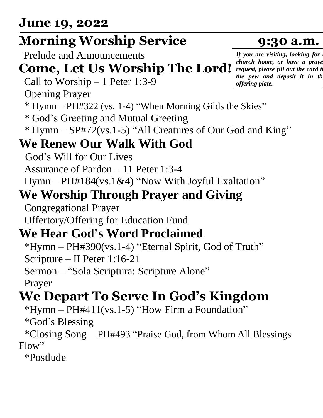#### **June 19, 2022**

## **Morning Worship Service 9:30 a.m.**

Prelude and Announcements

#### **Come, Let Us Worship The Lord!**

Call to Worship – 1 Peter 1:3-9

Opening Prayer

- \* Hymn PH#322 (vs. 1-4) "When Morning Gilds the Skies"
- \* God's Greeting and Mutual Greeting
- \* Hymn SP#72(vs.1-5) "All Creatures of Our God and King"

#### **We Renew Our Walk With God**

God's Will for Our Lives

Assurance of Pardon – 11 Peter 1:3-4

Hymn – PH#184(vs.1&4) "Now With Joyful Exaltation"

#### **We Worship Through Prayer and Giving**

Congregational Prayer

Offertory/Offering for Education Fund

#### **We Hear God's Word Proclaimed**

\*Hymn – PH#390(vs.1-4) "Eternal Spirit, God of Truth" Scripture – II Peter 1:16-21

Sermon – "Sola Scriptura: Scripture Alone"

Prayer

## **We Depart To Serve In God's Kingdom**

 $*Hymn - PH#411(vs.1-5)$  "How Firm a Foundation"

\*God's Blessing

\*Closing Song – PH#493 "Praise God, from Whom All Blessings Flow"

\*Postlude

*If you are visiting, looking for a church home, or have a praye request, please fill out the card in the pew and deposit it in the offering plate.*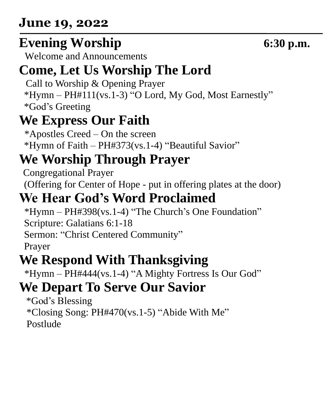#### **June 19, 2022**

## **Evening Worship 6:30 p.m.**

Welcome and Announcements

## **Come, Let Us Worship The Lord**

Call to Worship & Opening Prayer \*Hymn – PH#111(vs.1-3) "O Lord, My God, Most Earnestly" \*God's Greeting

## **We Express Our Faith**

\*Apostles Creed – On the screen \*Hymn of Faith – PH#373(vs.1-4) "Beautiful Savior"

## **We Worship Through Prayer**

 Congregational Prayer (Offering for Center of Hope - put in offering plates at the door)

## **We Hear God's Word Proclaimed**

\*Hymn – PH#398(vs.1-4) "The Church's One Foundation" Scripture: Galatians 6:1-18 Sermon: "Christ Centered Community" Prayer

## **We Respond With Thanksgiving**

\*Hymn – PH#444(vs.1-4) "A Mighty Fortress Is Our God"

## **We Depart To Serve Our Savior**

 \*God's Blessing \*Closing Song: PH#470(vs.1-5) "Abide With Me" Postlude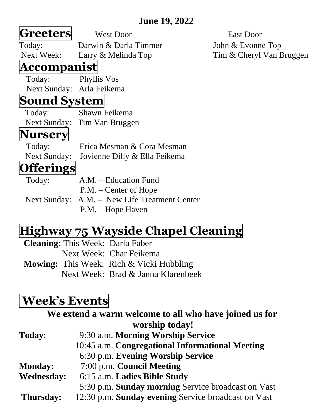#### **June 19, 2022**

| <b>Greeters</b>     | <b>West Door</b>                              | <b>East Door</b>         |
|---------------------|-----------------------------------------------|--------------------------|
| Today:              | Darwin & Darla Timmer                         | John & Evonne Top        |
| <b>Next Week:</b>   | Larry & Melinda Top                           | Tim & Cheryl Van Bruggen |
| Accompanist         |                                               |                          |
| Today:              | Phyllis Vos                                   |                          |
|                     | Next Sunday: Arla Feikema                     |                          |
| <b>Sound System</b> |                                               |                          |
| Today:              | Shawn Feikema                                 |                          |
|                     | Next Sunday: Tim Van Bruggen                  |                          |
| <b>Nursery</b>      |                                               |                          |
| Today:              | Erica Mesman & Cora Mesman                    |                          |
| <b>Next Sunday:</b> | Jovienne Dilly & Ella Feikema                 |                          |
| <b>Offerings</b>    |                                               |                          |
| Today:              | A.M. – Education Fund                         |                          |
|                     | $P.M. - Center of Hope$                       |                          |
|                     | Next Sunday: A.M. - New Life Treatment Center |                          |
|                     | P.M. – Hope Haven                             |                          |

#### **Highway 75 Wayside Chapel Cleaning**

**Cleaning:** This Week: Darla Faber Next Week: Char Feikema **Mowing:** This Week: Rich & Vicki Hubbling Next Week: Brad & Janna Klarenbeek

#### **Week's Events**

| We extend a warm welcome to all who have joined us for |
|--------------------------------------------------------|
| worship today!                                         |
| 9:30 a.m. Morning Worship Service                      |
| 10:45 a.m. Congregational Informational Meeting        |
| 6:30 p.m. Evening Worship Service                      |
| 7:00 p.m. Council Meeting                              |
| 6:15 a.m. Ladies Bible Study                           |
| 5:30 p.m. Sunday morning Service broadcast on Vast     |
| 12:30 p.m. Sunday evening Service broadcast on Vast    |
|                                                        |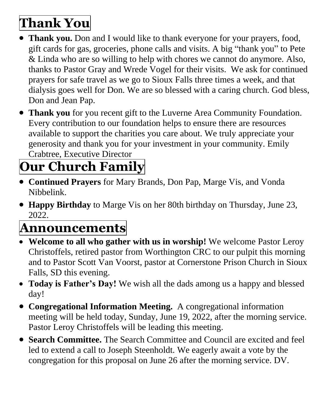## **Thank You**

- **Thank you.** Don and I would like to thank everyone for your prayers, food, gift cards for gas, groceries, phone calls and visits. A big "thank you" to Pete & Linda who are so willing to help with chores we cannot do anymore. Also, thanks to Pastor Gray and Wrede Vogel for their visits. We ask for continued prayers for safe travel as we go to Sioux Falls three times a week, and that dialysis goes well for Don. We are so blessed with a caring church. God bless, Don and Jean Pap.
- **Thank you** for you recent gift to the Luverne Area Community Foundation. Every contribution to our foundation helps to ensure there are resources available to support the charities you care about. We truly appreciate your generosity and thank you for your investment in your community. Emily Crabtree, Executive Director

# **Our Church Family**

- **Continued Prayers** for Mary Brands, Don Pap, Marge Vis, and Vonda Nibbelink.
- **Happy Birthday** to Marge Vis on her 80th birthday on Thursday, June 23, 2022.

## **Announcements**

- **Welcome to all who gather with us in worship!** We welcome Pastor Leroy Christoffels, retired pastor from Worthington CRC to our pulpit this morning and to Pastor Scott Van Voorst, pastor at Cornerstone Prison Church in Sioux Falls, SD this evening.
- **Today is Father's Day!** We wish all the dads among us a happy and blessed day!
- **Congregational Information Meeting.** A congregational information meeting will be held today, Sunday, June 19, 2022, after the morning service. Pastor Leroy Christoffels will be leading this meeting.
- **Search Committee.** The Search Committee and Council are excited and feel led to extend a call to Joseph Steenholdt. We eagerly await a vote by the congregation for this proposal on June 26 after the morning service. DV.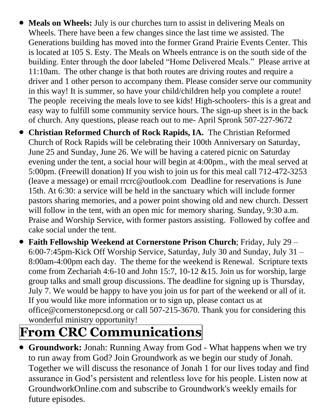- **Meals on Wheels:** July is our churches turn to assist in delivering Meals on Wheels. There have been a few changes since the last time we assisted. The Generations building has moved into the former Grand Prairie Events Center. This is located at 105 S. Esty. The Meals on Wheels entrance is on the south side of the building. Enter through the door labeled "Home Delivered Meals." Please arrive at 11:10am. The other change is that both routes are driving routes and require a driver and 1 other person to accompany them. Please consider serve our community in this way! It is summer, so have your child/children help you complete a route! The people receiving the meals love to see kids! High-schoolers- this is a great and easy way to fulfill some community service hours. The sign-up sheet is in the back of church. Any questions, please reach out to me- April Spronk 507-227-9672
- **Christian Reformed Church of Rock Rapids, IA.** The Christian Reformed Church of Rock Rapids will be celebrating their 100th Anniversary on Saturday, June 25 and Sunday, June 26. We will be having a catered picnic on Saturday evening under the tent, a social hour will begin at 4:00pm., with the meal served at 5:00pm. (Freewill donation) If you wish to join us for this meal call 712-472-3253 (leave a message) or email rrcrc@outlook.com Deadline for reservations is June 15th. At 6:30: a service will be held in the sanctuary which will include former pastors sharing memories, and a power point showing old and new church. Dessert will follow in the tent, with an open mic for memory sharing. Sunday, 9:30 a.m. Praise and Worship Service, with former pastors assisting. Followed by coffee and cake social under the tent.
- **Faith Fellowship Weekend at Cornerstone Prison Church**; Friday, July 29 6:00-7:45pm-Kick Off Worship Service, Saturday, July 30 and Sunday, July 31 – 8:00am-4:00pm each day. The theme for the weekend is Renewal. Scripture texts come from Zechariah 4:6-10 and John 15:7, 10-12  $&15$ . Join us for worship, large group talks and small group discussions. The deadline for signing up is Thursday, July 7. We would be happy to have you join us for part of the weekend or all of it. If you would like more information or to sign up, please contact us at office@cornerstonepcsd.org or call 507-215-3670. Thank you for considering this wonderful ministry opportunity!

## **From CRC Communications**

• **Groundwork:** Jonah: Running Away from God - What happens when we try to run away from God? Join Groundwork as we begin our study of Jonah. Together we will discuss the resonance of Jonah 1 for our lives today and find assurance in God's persistent and relentless love for his people. Listen now at GroundworkOnline.com and subscribe to Groundwork's weekly emails for future episodes.